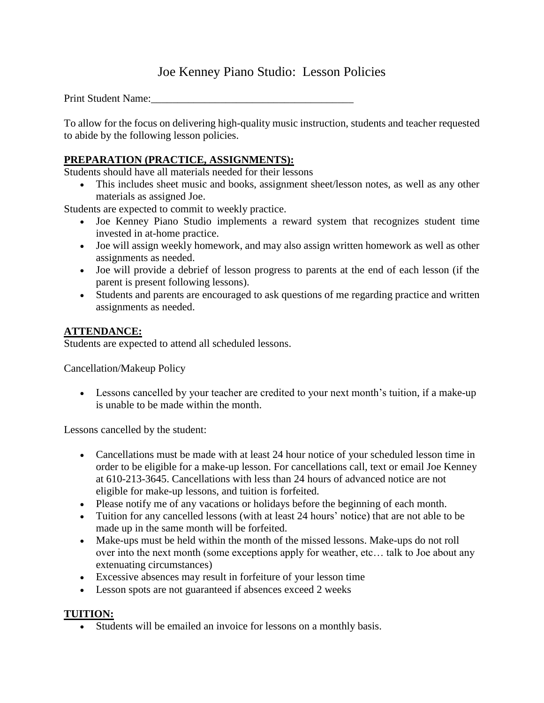# Joe Kenney Piano Studio: Lesson Policies

Print Student Name:

To allow for the focus on delivering high-quality music instruction, students and teacher requested to abide by the following lesson policies.

### **PREPARATION (PRACTICE, ASSIGNMENTS):**

Students should have all materials needed for their lessons

 This includes sheet music and books, assignment sheet/lesson notes, as well as any other materials as assigned Joe.

Students are expected to commit to weekly practice.

- Joe Kenney Piano Studio implements a reward system that recognizes student time invested in at-home practice.
- Joe will assign weekly homework, and may also assign written homework as well as other assignments as needed.
- Joe will provide a debrief of lesson progress to parents at the end of each lesson (if the parent is present following lessons).
- Students and parents are encouraged to ask questions of me regarding practice and written assignments as needed.

## **ATTENDANCE:**

Students are expected to attend all scheduled lessons.

Cancellation/Makeup Policy

 Lessons cancelled by your teacher are credited to your next month's tuition, if a make-up is unable to be made within the month.

Lessons cancelled by the student:

- Cancellations must be made with at least 24 hour notice of your scheduled lesson time in order to be eligible for a make-up lesson. For cancellations call, text or email Joe Kenney at 610-213-3645. Cancellations with less than 24 hours of advanced notice are not eligible for make-up lessons, and tuition is forfeited.
- Please notify me of any vacations or holidays before the beginning of each month.
- Tuition for any cancelled lessons (with at least 24 hours' notice) that are not able to be made up in the same month will be forfeited.
- Make-ups must be held within the month of the missed lessons. Make-ups do not roll over into the next month (some exceptions apply for weather, etc… talk to Joe about any extenuating circumstances)
- Excessive absences may result in forfeiture of your lesson time
- Lesson spots are not guaranteed if absences exceed 2 weeks

### **TUITION:**

Students will be emailed an invoice for lessons on a monthly basis.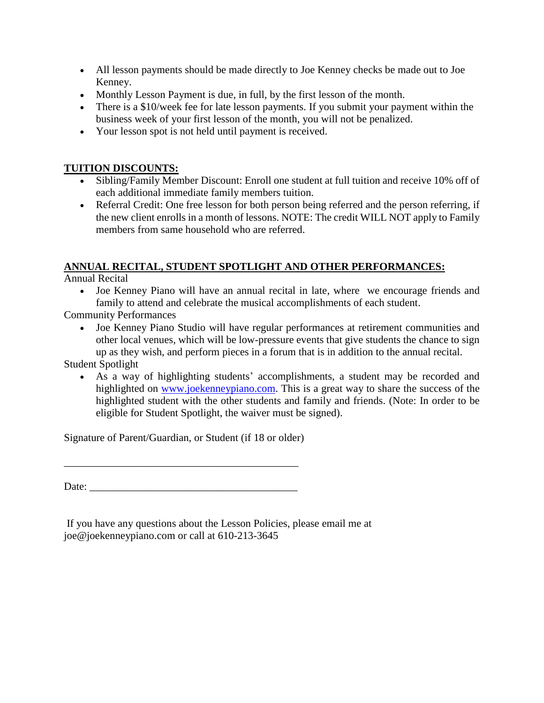- All lesson payments should be made directly to Joe Kenney checks be made out to Joe Kenney.
- Monthly Lesson Payment is due, in full, by the first lesson of the month.
- There is a \$10/week fee for late lesson payments. If you submit your payment within the business week of your first lesson of the month, you will not be penalized.
- Your lesson spot is not held until payment is received.

#### **TUITION DISCOUNTS:**

- Sibling/Family Member Discount: Enroll one student at full tuition and receive 10% off of each additional immediate family members tuition.
- Referral Credit: One free lesson for both person being referred and the person referring, if the new client enrolls in a month of lessons. NOTE: The credit WILL NOT apply to Family members from same household who are referred.

### **ANNUAL RECITAL, STUDENT SPOTLIGHT AND OTHER PERFORMANCES:**

Annual Recital

 Joe Kenney Piano will have an annual recital in late, where we encourage friends and family to attend and celebrate the musical accomplishments of each student.

Community Performances

 Joe Kenney Piano Studio will have regular performances at retirement communities and other local venues, which will be low-pressure events that give students the chance to sign up as they wish, and perform pieces in a forum that is in addition to the annual recital.

### Student Spotlight

 As a way of highlighting students' accomplishments, a student may be recorded and highlighted on [www.joekenneypiano.com.](http://www.joekenneypiano.com/) This is a great way to share the success of the highlighted student with the other students and family and friends. (Note: In order to be eligible for Student Spotlight, the waiver must be signed).

Signature of Parent/Guardian, or Student (if 18 or older)

Date:

If you have any questions about the Lesson Policies, please email me at joe@joekenneypiano.com or call at 610-213-3645